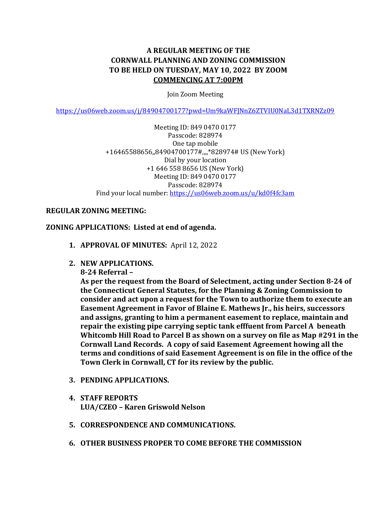# **A REGULAR MEETING OF THE CORNWALL PLANNING AND ZONING COMMISSION TO BE HELD ON TUESDAY, MAY 10, 2022 BY ZOOM COMMENCING AT 7:00PM**

Join Zoom Meeting

<https://us06web.zoom.us/j/84904700177?pwd=Um9kaWFJNnZ6ZTVIU0NaL3d1TXRNZz09>

Meeting ID: 849 0470 0177 Passcode: 828974 One tap mobile +16465588656,,84904700177#,,,,\*828974# US (New York) Dial by your location +1 646 558 8656 US (New York) Meeting ID: 849 0470 0177 Passcode: 828974 Find your local number:<https://us06web.zoom.us/u/kd0f4fc3am>

#### **REGULAR ZONING MEETING:**

#### **ZONING APPLICATIONS: Listed at end of agenda.**

- **1. APPROVAL OF MINUTES:** April 12, 2022
- **2. NEW APPLICATIONS.** 
	- **8-24 Referral –**

**As per the request from the Board of Selectment, acting under Section 8-24 of the Connecticut General Statutes, for the Planning & Zoning Commission to consider and act upon a request for the Town to authorize them to execute an Easement Agreement in Favor of Blaine E. Mathews Jr., his heirs, successors and assigns, granting to him a permanent easement to replace, maintain and repair the existing pipe carrying septic tank efffuent from Parcel A beneath Whitcomb Hill Road to Parcel B as shown on a survey on file as Map #291 in the Cornwall Land Records. A copy of said Easement Agreement howing all the terms and conditions of said Easement Agreement is on file in the office of the Town Clerk in Cornwall, CT for its review by the public.** 

- **3. PENDING APPLICATIONS.**
- **4. STAFF REPORTS LUA/CZEO – Karen Griswold Nelson**
- **5. CORRESPONDENCE AND COMMUNICATIONS.**
- **6. OTHER BUSINESS PROPER TO COME BEFORE THE COMMISSION**